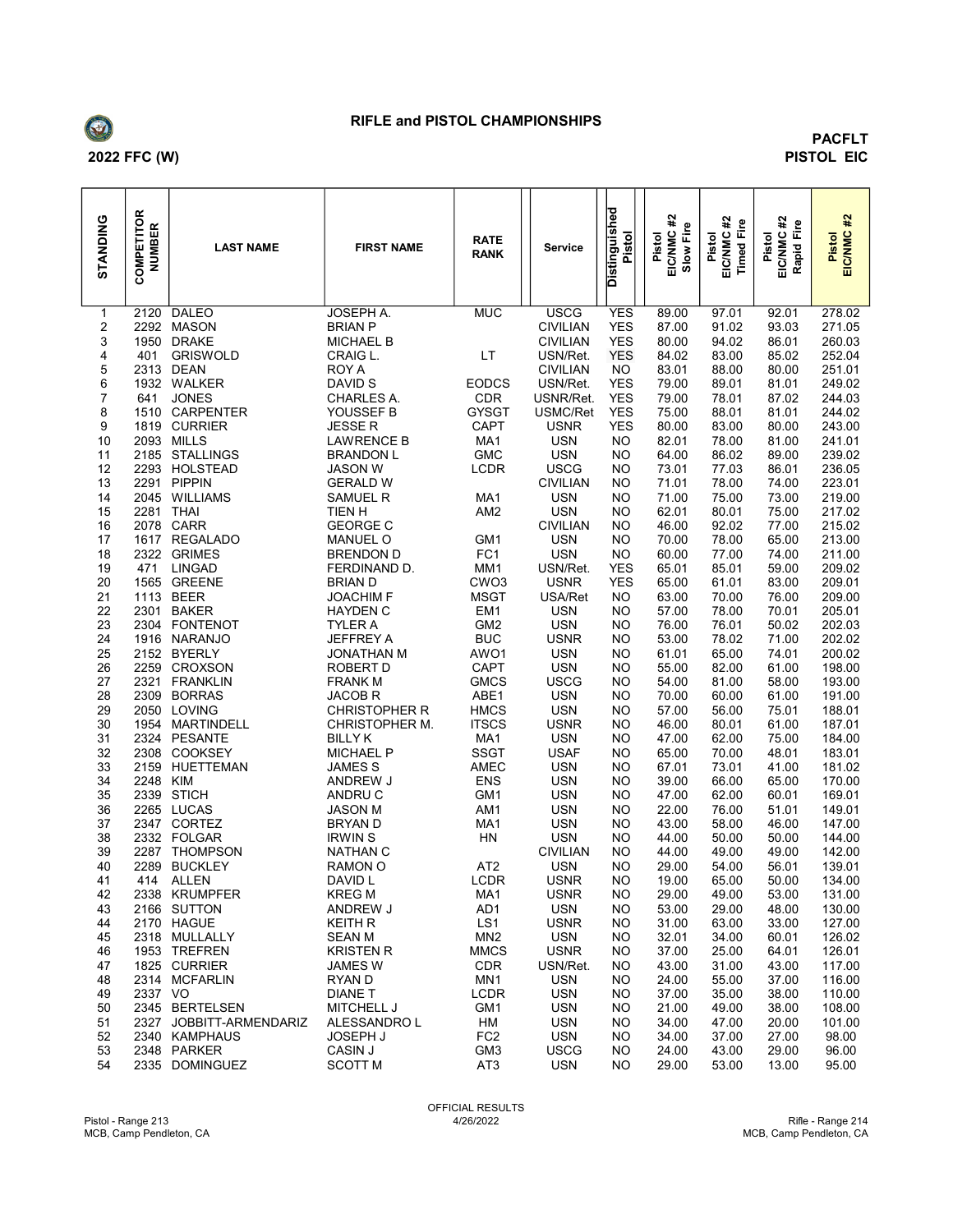

## RIFLE and PISTOL CHAMPIONSHIPS

## PACFLT PISTOL EIC

| STANDING | COMPETITOR<br><b>NUMBER</b> | <b>LAST NAME</b>            | <b>FIRST NAME</b>                   | <b>RATE</b><br><b>RANK</b>  | <b>Service</b>            | <b>Distinguished</b><br>Pistol | #<br>Slow Fire<br>Pistol<br>EIC/NMC ; | #2<br>Fire<br>EIC/NMC<br>Pistol<br>Timed | $\frac{42}{16}$<br>EIC/NMC<br>证<br>Pistol<br>Rapid | #<br>Pistol<br>EIC/NMC 3 |
|----------|-----------------------------|-----------------------------|-------------------------------------|-----------------------------|---------------------------|--------------------------------|---------------------------------------|------------------------------------------|----------------------------------------------------|--------------------------|
| 1        | 2120                        | <b>DALEO</b>                | <b>JOSEPH A.</b>                    | <b>MUC</b>                  | <b>USCG</b>               | <b>YES</b>                     | 89.00                                 | 97.01                                    | 92.01                                              | 278.02                   |
| 2        |                             | 2292 MASON                  | <b>BRIAN P</b>                      |                             | <b>CIVILIAN</b>           | <b>YES</b>                     | 87.00                                 | 91.02                                    | 93.03                                              | 271.05                   |
| 3        | 1950                        | <b>DRAKE</b>                | <b>MICHAEL B</b>                    |                             | <b>CIVILIAN</b>           | <b>YES</b>                     | 80.00                                 | 94.02                                    | 86.01                                              | 260.03                   |
| 4        | 401                         | <b>GRISWOLD</b>             | CRAIG L.                            | <b>LT</b>                   | USN/Ret.                  | <b>YES</b>                     | 84.02                                 | 83.00                                    | 85.02                                              | 252.04                   |
| 5        |                             | 2313 DEAN                   | ROY A                               |                             | <b>CIVILIAN</b>           | <b>NO</b>                      | 83.01                                 | 88.00                                    | 80.00                                              | 251.01                   |
| 6        |                             | 1932 WALKER                 | DAVID S                             | <b>EODCS</b>                | USN/Ret.                  | <b>YES</b>                     | 79.00                                 | 89.01                                    | 81.01                                              | 249.02                   |
| 7        | 641                         | <b>JONES</b>                | CHARLES A.                          | <b>CDR</b>                  | USNR/Ret.                 | <b>YES</b>                     | 79.00                                 | 78.01                                    | 87.02                                              | 244.03                   |
| 8        |                             | 1510 CARPENTER              | YOUSSEF B                           | <b>GYSGT</b><br><b>CAPT</b> | USMC/Ret                  | <b>YES</b>                     | 75.00                                 | 88.01                                    | 81.01                                              | 244.02                   |
| 9<br>10  |                             | 1819 CURRIER<br>2093 MILLS  | <b>JESSE R</b><br><b>LAWRENCE B</b> | MA1                         | <b>USNR</b><br><b>USN</b> | <b>YES</b><br><b>NO</b>        | 80.00<br>82.01                        | 83.00<br>78.00                           | 80.00<br>81.00                                     | 243.00<br>241.01         |
| 11       |                             | 2185 STALLINGS              | <b>BRANDON L</b>                    | <b>GMC</b>                  | <b>USN</b>                | <b>NO</b>                      | 64.00                                 | 86.02                                    | 89.00                                              | 239.02                   |
| 12       |                             | 2293 HOLSTEAD               | <b>JASON W</b>                      | LCDR                        | <b>USCG</b>               | NO                             | 73.01                                 | 77.03                                    | 86.01                                              | 236.05                   |
| 13       |                             | 2291 PIPPIN                 | <b>GERALD W</b>                     |                             | <b>CIVILIAN</b>           | NO                             | 71.01                                 | 78.00                                    | 74.00                                              | 223.01                   |
| 14       | 2045                        | WILLIAMS                    | SAMUEL R                            | MA1                         | <b>USN</b>                | NO                             | 71.00                                 | 75.00                                    | 73.00                                              | 219.00                   |
| 15       |                             | 2281 THAI                   | TIEN H                              | AM <sub>2</sub>             | <b>USN</b>                | <b>NO</b>                      | 62.01                                 | 80.01                                    | 75.00                                              | 217.02                   |
| 16       |                             | 2078 CARR                   | <b>GEORGE C</b>                     |                             | <b>CIVILIAN</b>           | NO                             | 46.00                                 | 92.02                                    | 77.00                                              | 215.02                   |
| 17       |                             | 1617 REGALADO               | <b>MANUEL O</b>                     | GM1                         | <b>USN</b>                | NO                             | 70.00                                 | 78.00                                    | 65.00                                              | 213.00                   |
| 18       | 2322                        | <b>GRIMES</b>               | <b>BRENDON D</b>                    | FC <sub>1</sub>             | <b>USN</b>                | NO                             | 60.00                                 | 77.00                                    | 74.00                                              | 211.00                   |
| 19       | 471                         | <b>LINGAD</b>               | FERDINAND D.                        | MM1                         | USN/Ret.                  | <b>YES</b>                     | 65.01                                 | 85.01                                    | 59.00                                              | 209.02                   |
| 20       |                             | 1565 GREENE                 | <b>BRIAN D</b>                      | CWO3                        | <b>USNR</b>               | <b>YES</b>                     | 65.00                                 | 61.01                                    | 83.00                                              | 209.01                   |
| 21       |                             | 1113 BEER                   | <b>JOACHIM F</b>                    | <b>MSGT</b>                 | USA/Ret                   | NO                             | 63.00                                 | 70.00                                    | 76.00                                              | 209.00                   |
| 22<br>23 |                             | 2301 BAKER<br>2304 FONTENOT | <b>HAYDEN C</b><br><b>TYLER A</b>   | EM1<br>GM <sub>2</sub>      | <b>USN</b><br><b>USN</b>  | NO<br>NO                       | 57.00<br>76.00                        | 78.00<br>76.01                           | 70.01<br>50.02                                     | 205.01<br>202.03         |
| 24       |                             | 1916 NARANJO                | JEFFREY A                           | <b>BUC</b>                  | <b>USNR</b>               | NO                             | 53.00                                 | 78.02                                    | 71.00                                              | 202.02                   |
| 25       |                             | 2152 BYERLY                 | <b>JONATHAN M</b>                   | AWO1                        | <b>USN</b>                | NO                             | 61.01                                 | 65.00                                    | 74.01                                              | 200.02                   |
| 26       |                             | 2259 CROXSON                | ROBERT D                            | CAPT                        | <b>USN</b>                | NO                             | 55.00                                 | 82.00                                    | 61.00                                              | 198.00                   |
| 27       | 2321                        | FRANKLIN                    | <b>FRANK M</b>                      | <b>GMCS</b>                 | USCG                      | NO                             | 54.00                                 | 81.00                                    | 58.00                                              | 193.00                   |
| 28       |                             | 2309 BORRAS                 | <b>JACOB R</b>                      | ABE1                        | <b>USN</b>                | NO                             | 70.00                                 | 60.00                                    | 61.00                                              | 191.00                   |
| 29       |                             | 2050 LOVING                 | <b>CHRISTOPHER R</b>                | <b>HMCS</b>                 | <b>USN</b>                | NO                             | 57.00                                 | 56.00                                    | 75.01                                              | 188.01                   |
| 30       | 1954                        | MARTINDELL                  | CHRISTOPHER M.                      | <b>ITSCS</b>                | <b>USNR</b>               | NO                             | 46.00                                 | 80.01                                    | 61.00                                              | 187.01                   |
| 31       | 2324                        | PESANTE                     | <b>BILLY K</b>                      | MA1                         | <b>USN</b>                | NO                             | 47.00                                 | 62.00                                    | 75.00                                              | 184.00                   |
| 32       |                             | 2308 COOKSEY                | <b>MICHAEL P</b>                    | SSGT                        | USAF                      | NO                             | 65.00                                 | 70.00                                    | 48.01                                              | 183.01                   |
| 33       |                             | 2159 HUETTEMAN              | <b>JAMES S</b>                      | AMEC                        | <b>USN</b>                | NO                             | 67.01                                 | 73.01                                    | 41.00                                              | 181.02                   |
| 34       | 2248 KIM                    |                             | ANDREW J                            | <b>ENS</b>                  | <b>USN</b>                | NO                             | 39.00                                 | 66.00                                    | 65.00                                              | 170.00                   |
| 35       |                             | 2339 STICH                  | ANDRU C                             | GM <sub>1</sub>             | <b>USN</b>                | NO                             | 47.00                                 | 62.00                                    | 60.01                                              | 169.01                   |
| 36<br>37 |                             | 2265 LUCAS<br>2347 CORTEZ   | <b>JASON M</b><br><b>BRYAND</b>     | AM1<br>MA1                  | <b>USN</b><br><b>USN</b>  | NO<br>NO                       | 22.00<br>43.00                        | 76.00<br>58.00                           | 51.01<br>46.00                                     | 149.01<br>147.00         |
| 38       |                             | 2332 FOLGAR                 | <b>IRWIN S</b>                      | HN                          | <b>USN</b>                | NO                             | 44.00                                 | 50.00                                    | 50.00                                              | 144.00                   |
| 39       |                             | 2287 THOMPSON               | <b>NATHAN C</b>                     |                             | <b>CIVILIAN</b>           | NO                             | 44.00                                 | 49.00                                    | 49.00                                              | 142.00                   |
| 40       |                             | 2289 BUCKLEY                | <b>RAMON O</b>                      | AT <sub>2</sub>             | <b>USN</b>                | <b>NO</b>                      | 29.00                                 | 54.00                                    | 56.01                                              | 139.01                   |
| 41       |                             | 414 ALLEN                   | DAVID L                             | <b>LCDR</b>                 | <b>USNR</b>               | <b>NO</b>                      | 19.00                                 | 65.00                                    | 50.00                                              | 134.00                   |
| 42       |                             | 2338 KRUMPFER               | <b>KREG M</b>                       | MA1                         | <b>USNR</b>               | NO                             | 29.00                                 | 49.00                                    | 53.00                                              | 131.00                   |
| 43       |                             | 2166 SUTTON                 | ANDREW J                            | AD1                         | <b>USN</b>                | NO.                            | 53.00                                 | 29.00                                    | 48.00                                              | 130.00                   |
| 44       |                             | 2170 HAGUE                  | KEITH R                             | LS1                         | <b>USNR</b>               | NO                             | 31.00                                 | 63.00                                    | 33.00                                              | 127.00                   |
| 45       |                             | 2318 MULLALLY               | SEAN M                              | MN2                         | <b>USN</b>                | NO                             | 32.01                                 | 34.00                                    | 60.01                                              | 126.02                   |
| 46       |                             | 1953 TREFREN                | <b>KRISTEN R</b>                    | <b>MMCS</b>                 | <b>USNR</b>               | NO                             | 37.00                                 | 25.00                                    | 64.01                                              | 126.01                   |
| 47       |                             | 1825 CURRIER                | <b>JAMES W</b>                      | <b>CDR</b>                  | USN/Ret.                  | NO                             | 43.00                                 | 31.00                                    | 43.00                                              | 117.00                   |
| 48       |                             | 2314 MCFARLIN               | RYAN D                              | MN1                         | USN                       | NO                             | 24.00                                 | 55.00                                    | 37.00                                              | 116.00                   |
| 49       | 2337 VO                     | 2345 BERTELSEN              | <b>DIANE T</b>                      | LCDR                        | <b>USN</b>                | NO.                            | 37.00                                 | 35.00                                    | 38.00                                              | 110.00                   |
| 50<br>51 |                             | 2327 JOBBITT-ARMENDARIZ     | MITCHELL J<br>ALESSANDRO L          | GM1<br>HM                   | USN<br><b>USN</b>         | NO.<br>NO.                     | 21.00<br>34.00                        | 49.00<br>47.00                           | 38.00<br>20.00                                     | 108.00<br>101.00         |
| 52       |                             | 2340 KAMPHAUS               | <b>JOSEPH J</b>                     | FC <sub>2</sub>             | <b>USN</b>                | NO.                            | 34.00                                 | 37.00                                    | 27.00                                              | 98.00                    |
| 53       |                             | 2348 PARKER                 | CASIN J                             | GM <sub>3</sub>             | <b>USCG</b>               | NO.                            | 24.00                                 | 43.00                                    | 29.00                                              | 96.00                    |
| 54       |                             | 2335 DOMINGUEZ              | <b>SCOTT M</b>                      | AT <sub>3</sub>             | USN                       | NO.                            | 29.00                                 | 53.00                                    | 13.00                                              | 95.00                    |